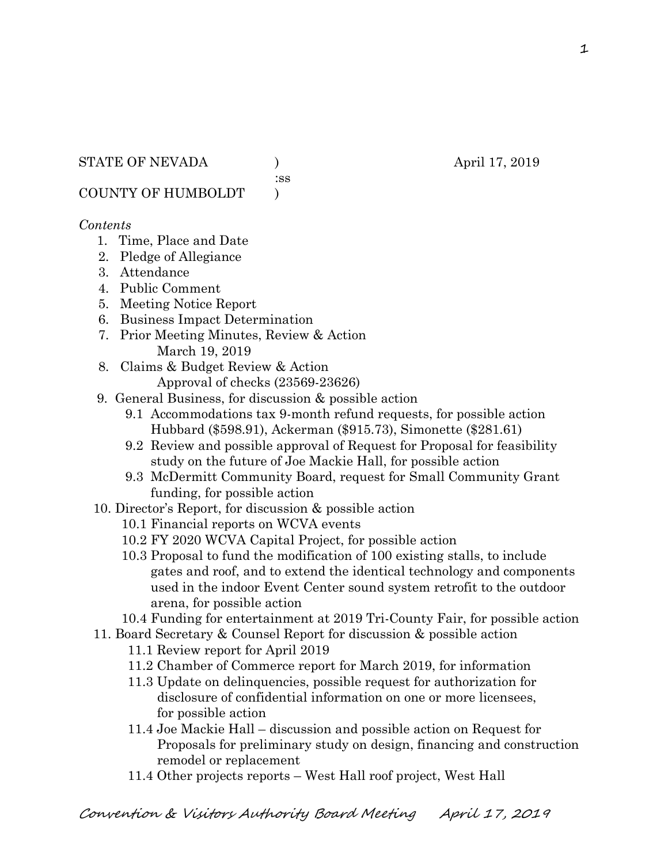:ss

COUNTY OF HUMBOLDT )

## *Contents*

- 1. Time, Place and Date
- 2. Pledge of Allegiance
- 3. Attendance
- 4. Public Comment
- 5. Meeting Notice Report
- 6. Business Impact Determination
- 7. Prior Meeting Minutes, Review & Action March 19, 2019
- 8. Claims & Budget Review & Action
	- Approval of checks (23569-23626)
- 9. General Business, for discussion & possible action
	- 9.1 Accommodations tax 9-month refund requests, for possible action Hubbard (\$598.91), Ackerman (\$915.73), Simonette (\$281.61)
	- 9.2 Review and possible approval of Request for Proposal for feasibility study on the future of Joe Mackie Hall, for possible action
	- 9.3 McDermitt Community Board, request for Small Community Grant funding, for possible action
- 10. Director's Report, for discussion & possible action
	- 10.1 Financial reports on WCVA events
	- 10.2 FY 2020 WCVA Capital Project, for possible action
	- 10.3 Proposal to fund the modification of 100 existing stalls, to include gates and roof, and to extend the identical technology and components used in the indoor Event Center sound system retrofit to the outdoor arena, for possible action
	- 10.4 Funding for entertainment at 2019 Tri-County Fair, for possible action
- 11. Board Secretary & Counsel Report for discussion & possible action
	- 11.1 Review report for April 2019
	- 11.2 Chamber of Commerce report for March 2019, for information
	- 11.3 Update on delinquencies, possible request for authorization for disclosure of confidential information on one or more licensees, for possible action
	- 11.4 Joe Mackie Hall discussion and possible action on Request for Proposals for preliminary study on design, financing and construction remodel or replacement
	- 11.4 Other projects reports West Hall roof project, West Hall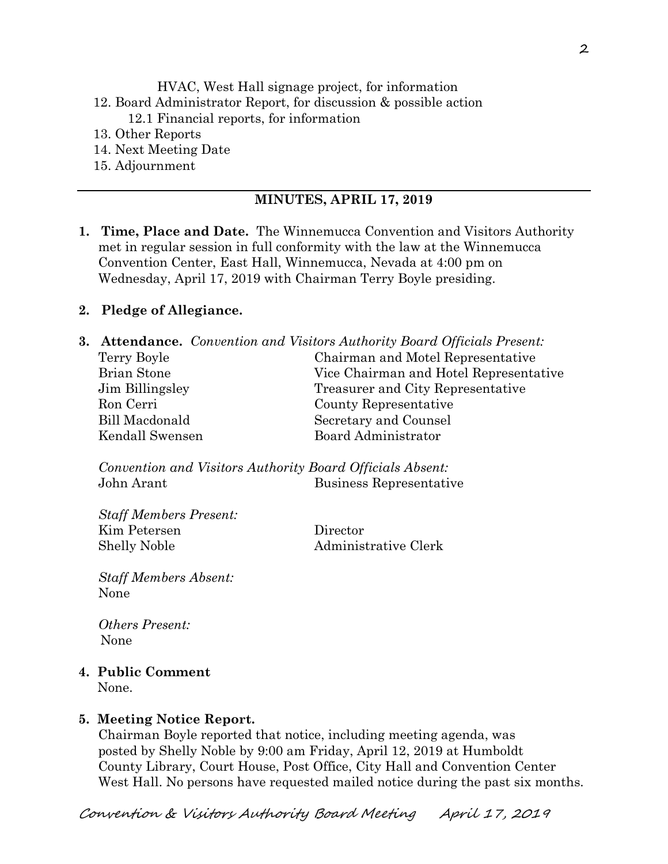HVAC, West Hall signage project, for information 12. Board Administrator Report, for discussion & possible action 12.1 Financial reports, for information 13. Other Reports

- 14. Next Meeting Date
- 15. Adjournment

#### **MINUTES, APRIL 17, 2019**

**1. Time, Place and Date.** The Winnemucca Convention and Visitors Authority met in regular session in full conformity with the law at the Winnemucca Convention Center, East Hall, Winnemucca, Nevada at 4:00 pm on Wednesday, April 17, 2019 with Chairman Terry Boyle presiding.

#### **2. Pledge of Allegiance.**

|                 | <b>3. Attendance.</b> Convention and Visitors Authority Board Officials Present: |
|-----------------|----------------------------------------------------------------------------------|
| Terry Boyle     | Chairman and Motel Representative                                                |
| Brian Stone     | Vice Chairman and Hotel Representative                                           |
| Jim Billingsley | Treasurer and City Representative                                                |
| Ron Cerri       | County Representative                                                            |
| Bill Macdonald  | Secretary and Counsel                                                            |
| Kendall Swensen | Board Administrator                                                              |

*Convention and Visitors Authority Board Officials Absent:*  John Arant Business Representative

*Staff Members Present:*  Kim Petersen Director Shelly Noble Administrative Clerk

*Staff Members Absent:*  None

*Others Present:*  None

**4. Public Comment** 

None.

#### **5. Meeting Notice Report.**

Chairman Boyle reported that notice, including meeting agenda, was posted by Shelly Noble by 9:00 am Friday, April 12, 2019 at Humboldt County Library, Court House, Post Office, City Hall and Convention Center West Hall. No persons have requested mailed notice during the past six months.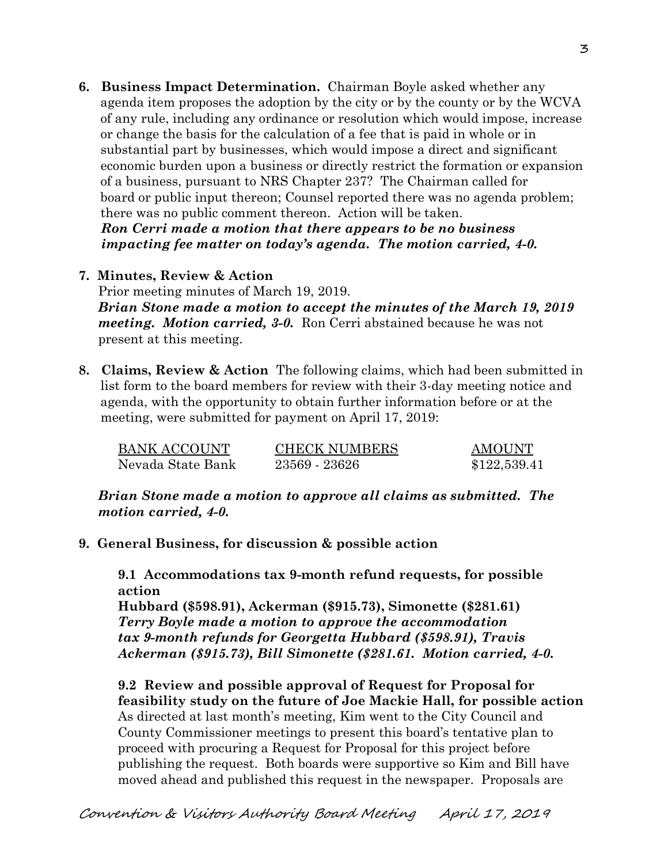**6. Business Impact Determination.** Chairman Boyle asked whether any agenda item proposes the adoption by the city or by the county or by the WCVA of any rule, including any ordinance or resolution which would impose, increase or change the basis for the calculation of a fee that is paid in whole or in substantial part by businesses, which would impose a direct and significant economic burden upon a business or directly restrict the formation or expansion of a business, pursuant to NRS Chapter 237? The Chairman called for board or public input thereon; Counsel reported there was no agenda problem; there was no public comment thereon. Action will be taken.  *Ron Cerri made a motion that there appears to be no business impacting fee matter on today's agenda. The motion carried, 4-0.* 

## **7. Minutes, Review & Action**

Prior meeting minutes of March 19, 2019. *Brian Stone made a motion to accept the minutes of the March 19, 2019 meeting. Motion carried, 3-0.* Ron Cerri abstained because he was not present at this meeting.

**8. Claims, Review & Action** The following claims, which had been submitted in list form to the board members for review with their 3-day meeting notice and agenda, with the opportunity to obtain further information before or at the meeting, were submitted for payment on April 17, 2019:

| <b>BANK ACCOUNT</b> | <b>CHECK NUMBERS</b> | AMOUNT       |
|---------------------|----------------------|--------------|
| Nevada State Bank   | 23569 - 23626        | \$122,539.41 |

*Brian Stone made a motion to approve all claims as submitted. The motion carried, 4-0.* 

**9. General Business, for discussion & possible action** 

**9.1 Accommodations tax 9-month refund requests, for possible action** 

**Hubbard (\$598.91), Ackerman (\$915.73), Simonette (\$281.61)**  *Terry Boyle made a motion to approve the accommodation tax 9-month refunds for Georgetta Hubbard (\$598.91), Travis Ackerman (\$915.73), Bill Simonette (\$281.61. Motion carried, 4-0.*

**9.2 Review and possible approval of Request for Proposal for feasibility study on the future of Joe Mackie Hall, for possible action**  As directed at last month's meeting, Kim went to the City Council and County Commissioner meetings to present this board's tentative plan to proceed with procuring a Request for Proposal for this project before publishing the request. Both boards were supportive so Kim and Bill have moved ahead and published this request in the newspaper. Proposals are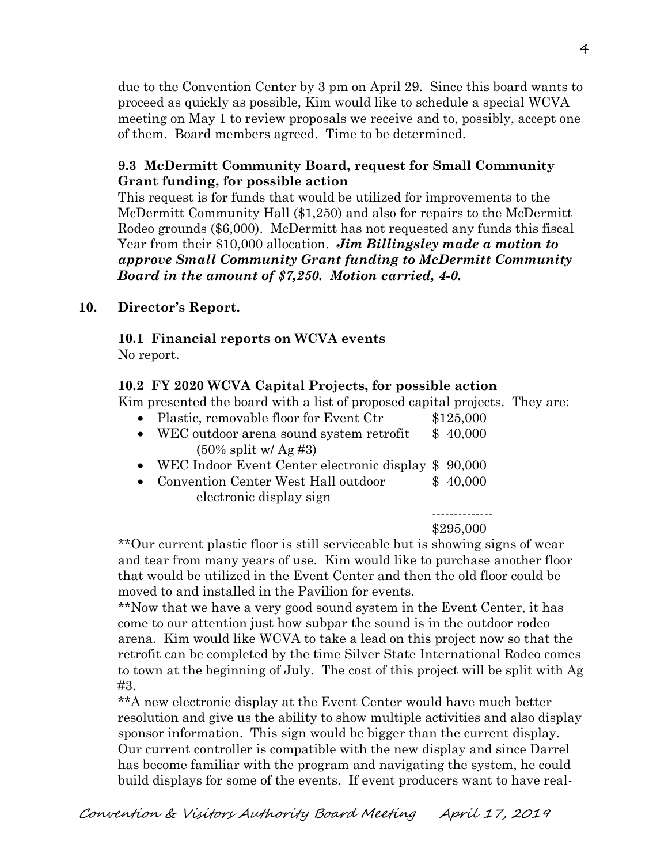due to the Convention Center by 3 pm on April 29. Since this board wants to proceed as quickly as possible, Kim would like to schedule a special WCVA meeting on May 1 to review proposals we receive and to, possibly, accept one of them. Board members agreed. Time to be determined.

### **9.3 McDermitt Community Board, request for Small Community Grant funding, for possible action**

This request is for funds that would be utilized for improvements to the McDermitt Community Hall (\$1,250) and also for repairs to the McDermitt Rodeo grounds (\$6,000). McDermitt has not requested any funds this fiscal Year from their \$10,000 allocation. *Jim Billingsley made a motion to approve Small Community Grant funding to McDermitt Community Board in the amount of \$7,250. Motion carried, 4-0.* 

#### **10. Director's Report.**

# **10.1 Financial reports on WCVA events**

No report.

## **10.2 FY 2020 WCVA Capital Projects, for possible action**

Kim presented the board with a list of proposed capital projects. They are:

| • Plastic, removable floor for Event Ctr            | \$125,000 |
|-----------------------------------------------------|-----------|
| • WEC outdoor arena sound system retrofit $$40,000$ |           |
| $(50\% \text{ split w/ Ag #3})$                     |           |

- WEC Indoor Event Center electronic display \$ 90,000
- Convention Center West Hall outdoor \$ 40,000 electronic display sign

--------------

#### \$295,000

 \*\*Our current plastic floor is still serviceable but is showing signs of wear and tear from many years of use. Kim would like to purchase another floor that would be utilized in the Event Center and then the old floor could be moved to and installed in the Pavilion for events.

\*\*Now that we have a very good sound system in the Event Center, it has come to our attention just how subpar the sound is in the outdoor rodeo arena. Kim would like WCVA to take a lead on this project now so that the retrofit can be completed by the time Silver State International Rodeo comes to town at the beginning of July. The cost of this project will be split with Ag #3.

\*\*A new electronic display at the Event Center would have much better resolution and give us the ability to show multiple activities and also display sponsor information. This sign would be bigger than the current display. Our current controller is compatible with the new display and since Darrel has become familiar with the program and navigating the system, he could build displays for some of the events. If event producers want to have real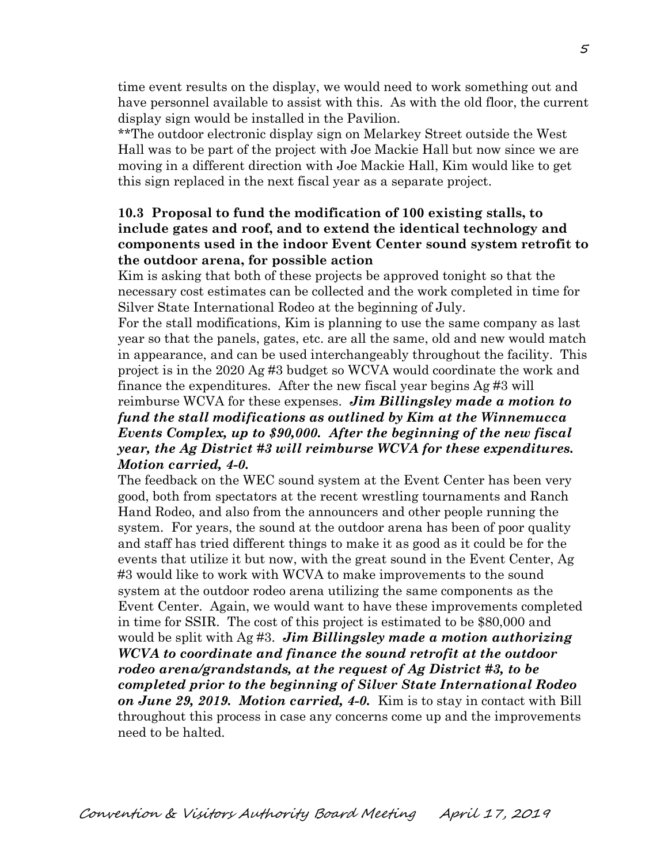time event results on the display, we would need to work something out and have personnel available to assist with this. As with the old floor, the current display sign would be installed in the Pavilion.

\*\*The outdoor electronic display sign on Melarkey Street outside the West Hall was to be part of the project with Joe Mackie Hall but now since we are moving in a different direction with Joe Mackie Hall, Kim would like to get this sign replaced in the next fiscal year as a separate project.

#### **10.3 Proposal to fund the modification of 100 existing stalls, to include gates and roof, and to extend the identical technology and components used in the indoor Event Center sound system retrofit to the outdoor arena, for possible action**

Kim is asking that both of these projects be approved tonight so that the necessary cost estimates can be collected and the work completed in time for Silver State International Rodeo at the beginning of July.

For the stall modifications, Kim is planning to use the same company as last year so that the panels, gates, etc. are all the same, old and new would match in appearance, and can be used interchangeably throughout the facility. This project is in the 2020 Ag #3 budget so WCVA would coordinate the work and finance the expenditures. After the new fiscal year begins Ag #3 will

## reimburse WCVA for these expenses. *Jim Billingsley made a motion to fund the stall modifications as outlined by Kim at the Winnemucca Events Complex, up to \$90,000. After the beginning of the new fiscal year, the Ag District #3 will reimburse WCVA for these expenditures. Motion carried, 4-0.*

The feedback on the WEC sound system at the Event Center has been very good, both from spectators at the recent wrestling tournaments and Ranch Hand Rodeo, and also from the announcers and other people running the system. For years, the sound at the outdoor arena has been of poor quality and staff has tried different things to make it as good as it could be for the events that utilize it but now, with the great sound in the Event Center, Ag #3 would like to work with WCVA to make improvements to the sound system at the outdoor rodeo arena utilizing the same components as the Event Center. Again, we would want to have these improvements completed in time for SSIR. The cost of this project is estimated to be \$80,000 and would be split with Ag #3. *Jim Billingsley made a motion authorizing WCVA to coordinate and finance the sound retrofit at the outdoor rodeo arena/grandstands, at the request of Ag District #3, to be completed prior to the beginning of Silver State International Rodeo on June 29, 2019. Motion carried, 4-0.* Kim is to stay in contact with Bill throughout this process in case any concerns come up and the improvements need to be halted.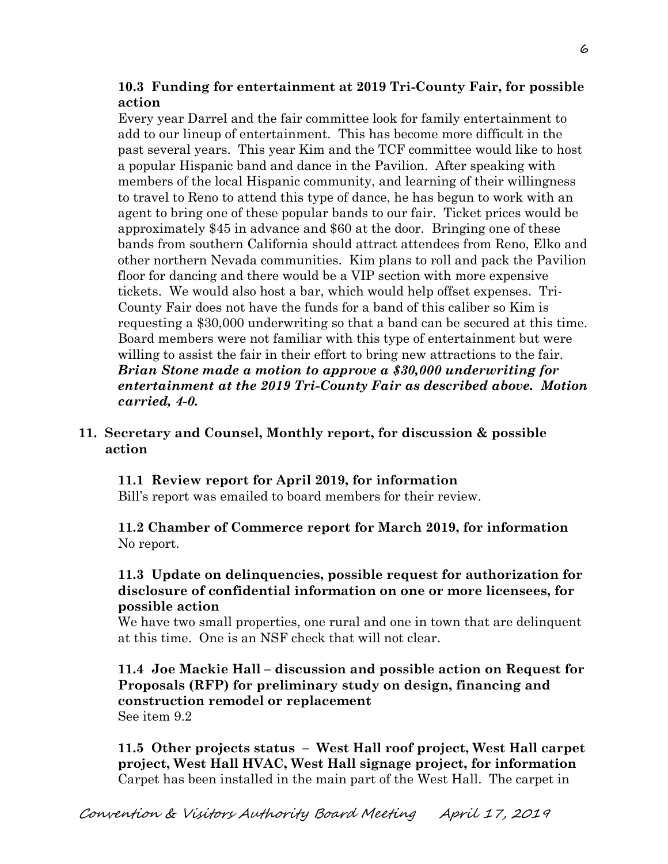# **10.3 Funding for entertainment at 2019 Tri-County Fair, for possible action**

Every year Darrel and the fair committee look for family entertainment to add to our lineup of entertainment. This has become more difficult in the past several years. This year Kim and the TCF committee would like to host a popular Hispanic band and dance in the Pavilion. After speaking with members of the local Hispanic community, and learning of their willingness to travel to Reno to attend this type of dance, he has begun to work with an agent to bring one of these popular bands to our fair. Ticket prices would be approximately \$45 in advance and \$60 at the door. Bringing one of these bands from southern California should attract attendees from Reno, Elko and other northern Nevada communities. Kim plans to roll and pack the Pavilion floor for dancing and there would be a VIP section with more expensive tickets. We would also host a bar, which would help offset expenses. Tri- County Fair does not have the funds for a band of this caliber so Kim is requesting a \$30,000 underwriting so that a band can be secured at this time. Board members were not familiar with this type of entertainment but were willing to assist the fair in their effort to bring new attractions to the fair. *Brian Stone made a motion to approve a \$30,000 underwriting for entertainment at the 2019 Tri-County Fair as described above. Motion carried, 4-0.*

## **11. Secretary and Counsel, Monthly report, for discussion & possible action**

#### **11.1 Review report for April 2019, for information**

Bill's report was emailed to board members for their review.

## **11.2 Chamber of Commerce report for March 2019, for information**  No report.

## **11.3 Update on delinquencies, possible request for authorization for disclosure of confidential information on one or more licensees, for possible action**

We have two small properties, one rural and one in town that are delinquent at this time. One is an NSF check that will not clear.

**11.4 Joe Mackie Hall – discussion and possible action on Request for Proposals (RFP) for preliminary study on design, financing and construction remodel or replacement**  See item 9.2

**11.5 Other projects status – West Hall roof project, West Hall carpet project, West Hall HVAC, West Hall signage project, for information**  Carpet has been installed in the main part of the West Hall. The carpet in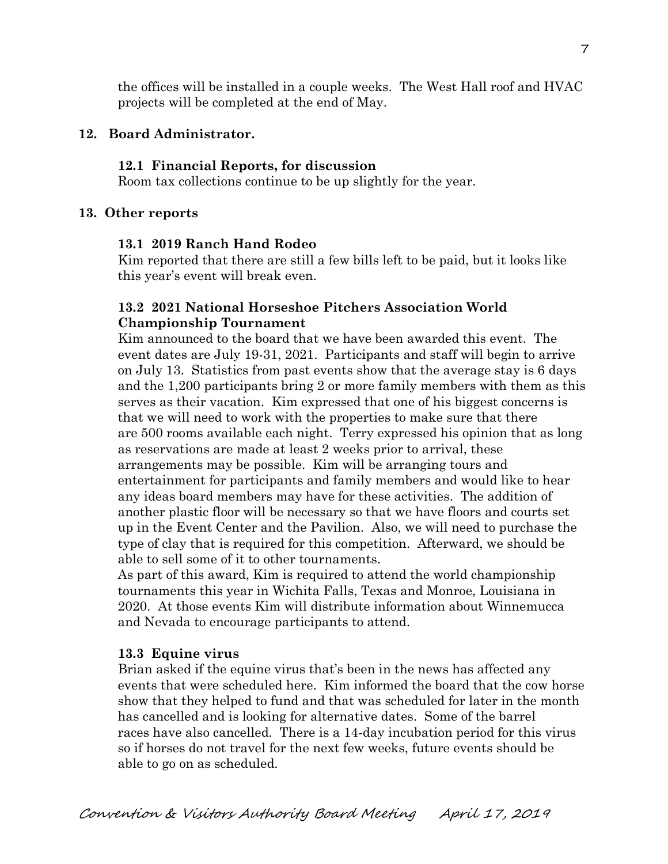the offices will be installed in a couple weeks. The West Hall roof and HVAC projects will be completed at the end of May.

## **12. Board Administrator.**

## **12.1 Financial Reports, for discussion**

Room tax collections continue to be up slightly for the year.

## **13. Other reports**

## **13.1 2019 Ranch Hand Rodeo**

Kim reported that there are still a few bills left to be paid, but it looks like this year's event will break even.

# **13.2 2021 National Horseshoe Pitchers Association World Championship Tournament**

Kim announced to the board that we have been awarded this event. The event dates are July 19-31, 2021. Participants and staff will begin to arrive on July 13. Statistics from past events show that the average stay is 6 days and the 1,200 participants bring 2 or more family members with them as this serves as their vacation. Kim expressed that one of his biggest concerns is that we will need to work with the properties to make sure that there are 500 rooms available each night. Terry expressed his opinion that as long as reservations are made at least 2 weeks prior to arrival, these arrangements may be possible. Kim will be arranging tours and entertainment for participants and family members and would like to hear any ideas board members may have for these activities. The addition of another plastic floor will be necessary so that we have floors and courts set up in the Event Center and the Pavilion. Also, we will need to purchase the type of clay that is required for this competition. Afterward, we should be able to sell some of it to other tournaments.

As part of this award, Kim is required to attend the world championship tournaments this year in Wichita Falls, Texas and Monroe, Louisiana in 2020. At those events Kim will distribute information about Winnemucca and Nevada to encourage participants to attend.

# **13.3 Equine virus**

Brian asked if the equine virus that's been in the news has affected any events that were scheduled here. Kim informed the board that the cow horse show that they helped to fund and that was scheduled for later in the month has cancelled and is looking for alternative dates. Some of the barrel races have also cancelled. There is a 14-day incubation period for this virus so if horses do not travel for the next few weeks, future events should be able to go on as scheduled.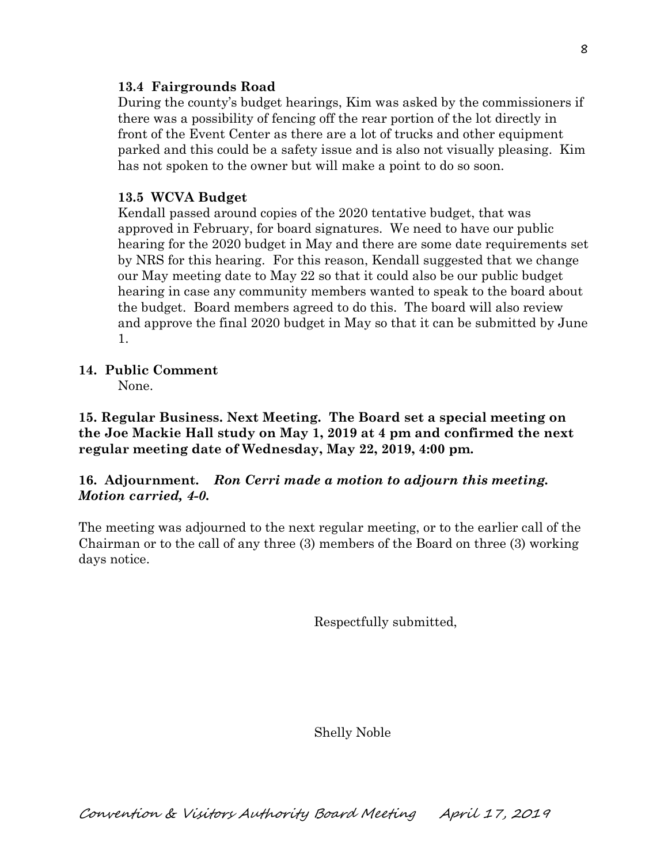#### **13.4 Fairgrounds Road**

During the county's budget hearings, Kim was asked by the commissioners if there was a possibility of fencing off the rear portion of the lot directly in front of the Event Center as there are a lot of trucks and other equipment parked and this could be a safety issue and is also not visually pleasing. Kim has not spoken to the owner but will make a point to do so soon.

## **13.5 WCVA Budget**

Kendall passed around copies of the 2020 tentative budget, that was approved in February, for board signatures. We need to have our public hearing for the 2020 budget in May and there are some date requirements set by NRS for this hearing. For this reason, Kendall suggested that we change our May meeting date to May 22 so that it could also be our public budget hearing in case any community members wanted to speak to the board about the budget. Board members agreed to do this. The board will also review and approve the final 2020 budget in May so that it can be submitted by June 1.

# **14. Public Comment**

None.

**15. Regular Business. Next Meeting. The Board set a special meeting on the Joe Mackie Hall study on May 1, 2019 at 4 pm and confirmed the next regular meeting date of Wednesday, May 22, 2019, 4:00 pm.** 

# **16. Adjournment.** *Ron Cerri made a motion to adjourn this meeting. Motion carried, 4-0.*

The meeting was adjourned to the next regular meeting, or to the earlier call of the Chairman or to the call of any three (3) members of the Board on three (3) working days notice.

Respectfully submitted,

Shelly Noble